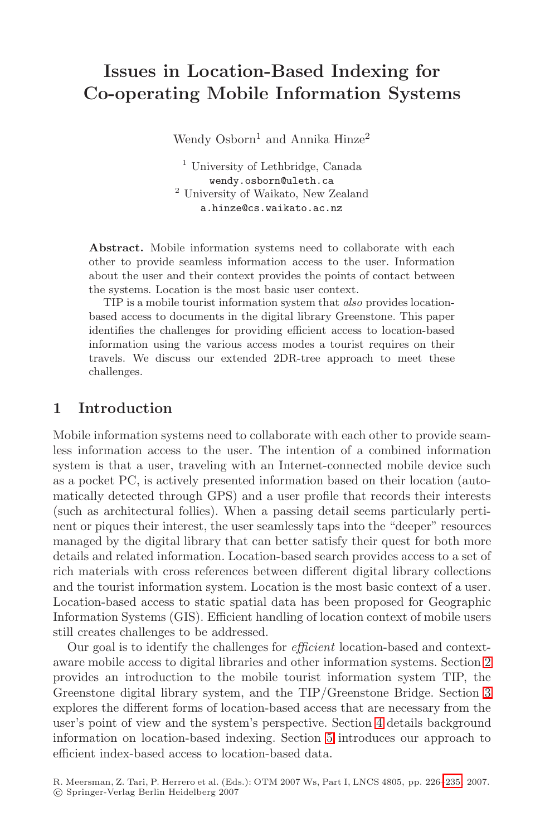# **Issues in Location-Based Indexing for Co-operating Mobile Information Systems**

Wendy Osborn<sup>1</sup> and Annika Hinze<sup>2</sup>

<sup>1</sup> University of Lethbridge, Canada wendy.osborn@uleth.ca <sup>2</sup> University of Waikato, New Zealand a.hinze@cs.waikato.ac.nz

**Abstract.** Mobile information systems need to collaborate with each other to provide seamless information access to the user. Information about the user and their context provides the points of contact between the systems. Location is the most basic user context.

TIP is a mobile tourist information system that also provides locationbased access to documents in the digital library Greenstone. This paper identifies the challenges for providing efficient access to location-based information using the various access modes a tourist requires on their travels. We discuss our extended 2DR-tree approach to meet these challenges.

# **1 Introduction**

Mobile information systems need to collaborate with each other to provide seamless information access to the user. The intention of a combined information system is that a user, traveling with an Internet-connected mobile device such as a pocket PC, is actively presented information based on their location (automatically detected through GPS) and a user profile that records their interests (such as architectural follies). When a passing detail seems particularly pertinent or piques their interest, the user seamlessly taps into the "deeper" resources managed by the digital library that can better satisfy their [q](#page-1-0)uest for both more details and related information. Location-based search provides access to a set of rich materials with cross references between different digit[al](#page-1-1) library collections and the tourist information system. Location is the most basic context of a user. Location-based access to static spatial [da](#page-4-0)ta has been proposed for Geographic Information Systems (GIS). E[ffic](#page-6-0)ient handling of location context of mobile users still creates challenges to be addressed.

Our goal is to identify the challenges for efficient location-based and contextaware mobile access to digital libraries and other inf[orm](#page-9-0)ation systems. Section 2 provides an introduction to the mobile tourist information system TIP, the Greenstone digital library system, and the TIP/Greenstone Bridge. Section 3 explores the different forms of location-based access that are necessary from the user's point of view and the system's perspective. Section 4 details background information on location-based indexing. Section 5 introduces our approach to efficient index-based access to location-based data.

R. Meersman, Z. Tari, P. Herrero et al. (Eds.): OTM 2007 Ws, Part I, LNCS 4805, pp. 226–235, 2007. -c Springer-Verlag Berlin Heidelberg 2007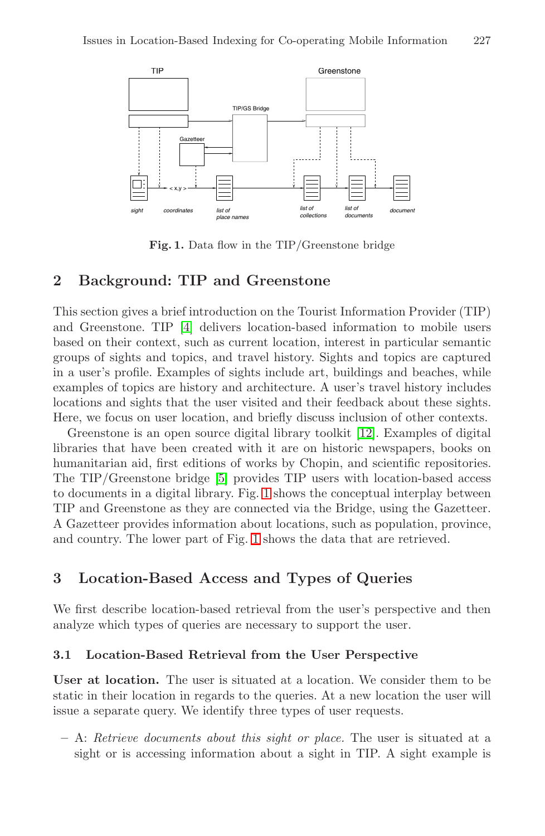<span id="page-1-2"></span>

Fig. 1. Data flow in the TIP/Greenstone bridge

*list of collections* *list of documents*

*document*

# <span id="page-1-0"></span>**2 Background: TIP and Greenstone**

 $< x, y >$ *coordinates*

*sight*

*list of place names*

This section gives a brief introductio[n on](#page-9-1) the Tourist Information Provider (TIP) and Greenstone. TIP [4] delivers location-based information to mobile users based on their context, such as current location, interest in particular semantic groups of [sig](#page-9-2)hts and topics, and travel history. Sights and topics are captured in a user's profile. [Ex](#page-1-2)amples of sights include art, buildings and beaches, while examples of topics are history and architecture. A user's travel history includes locations and sights that the user visited and their feedback about these sights. Here, we focus o[n u](#page-1-2)ser location, and briefly discuss inclusion of other contexts.

<span id="page-1-1"></span>Greenstone is an open source digital library toolkit [12]. Examples of digital libraries that have been created with it are on historic newspapers, books on humanitarian aid, first editions of works by Chopin, and scientific repositories. The TIP/Greenstone bridge [5] provides TIP users with location-based access to documents in a digital library. Fig. 1 shows the conceptual interplay between TIP and Greenstone as they are connected via the Bridge, using the Gazetteer. A Gazetteer provides information about locations, such as population, province, and country. The lower part of Fig. 1 shows the data that are retrieved.

# **3 Location-Based Access and Types of Queries**

We first describe location-based retrieval from the user's perspective and then analyze which types of queries are necessary to support the user.

#### **3.1 Location-Based Retrieval from the User Perspective**

**User at location.** The user is situated at a location. We consider them to be static in their location in regards to the queries. At a new location the user will issue a separate query. We identify three types of user requests.

**–** A: Retrieve documents about this sight or place. The user is situated at a sight or is accessing information about a sight in TIP. A sight example is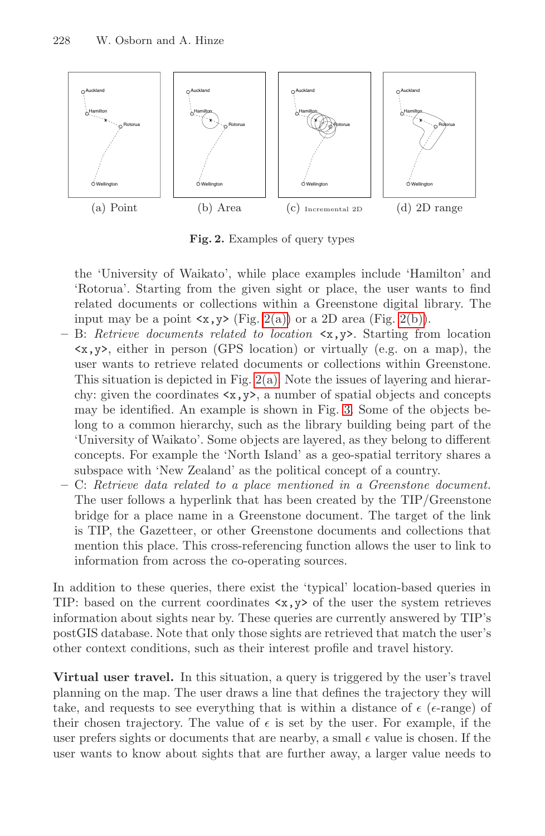<span id="page-2-2"></span><span id="page-2-1"></span><span id="page-2-0"></span>

**Fig. 2.** Examples of query types

the 'Universi[ty](#page-2-1) [of](#page-2-1) Waikato', while place examples include 'Hamilton' and 'Rotorua'. Starting from the [g](#page-3-0)iven sight or place, the user wants to find related documents or collections within a Greenstone digital library. The input may be a point  $\langle x, y \rangle$  (Fig. 2(a)) or a 2D area (Fig. 2(b)).

- **–** B: Retrieve documents related to location <x,y>. Starting from location  $\langle x, y \rangle$ , either in person (GPS location) or virtually (e.g. on a map), the user wants to retrieve related documents or collections within Greenstone. This situation is depicted in Fig. 2(a). Note the issues of layering and hierarchy: given the coordinates  $\langle x, y \rangle$ , a number of spatial objects and concepts may be identified. An example is shown in Fig. 3. Some of the objects belong to a common hierarchy, such as the library building being part of the 'University of Waikato'. Some objects are layered, as they belong to different concepts. For example the 'North Island' as a geo-spatial territory shares a subspace with 'New Zealand' as the political concept of a country.
- **–** C: Retrieve data related to a place mentioned in a Greenstone document. The user follows a hyperlink that has been created by the TIP/Greenstone bridge for a place name in a Greenstone document. The target of the link is TIP, the Gazetteer, or other Greenstone documents and collections that mention this place. This cross-referencing function allows the user to link to information from across the co-operating sources.

In addition to these queries, there exist the 'typical' location-based queries in TIP: based on the current coordinates  $\langle x, y \rangle$  of the user the system retrieves information about sights near by. These queries are currently answered by TIP's postGIS database. Note that only those sights are retrieved that match the user's other context conditions, such as their interest profile and travel history.

**Virtual user travel.** In this situation, a query is triggered by the user's travel planning on the map. The user draws a line that defines the trajectory they will take, and requests to see everything that is within a distance of  $\epsilon$  ( $\epsilon$ -range) of their chosen trajectory. The value of  $\epsilon$  is set by the user. For example, if the user prefers sights or documents that are nearby, a small  $\epsilon$  value is chosen. If the user wants to know about sights that are further away, a larger value needs to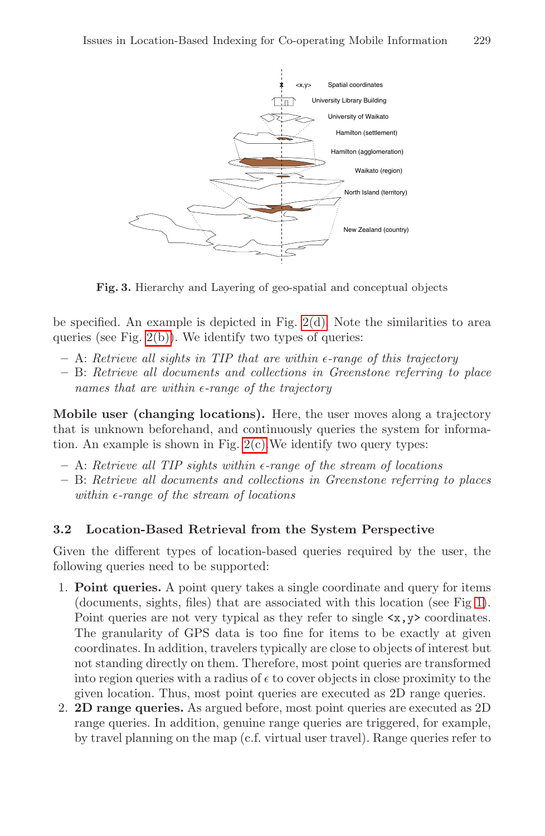

**Fig. 3.** Hierarchy and Layering of geo-spatial and conceptual objects

<span id="page-3-0"></span>be specified. A[n exa](#page-2-2)mple is depicted in Fig. 2(d). Note the similarities to area queries (see Fig.  $2(b)$ ). We identify two types of queries:

- $-$  A: Retrieve all sights in TIP that are within  $\epsilon$ -range of this trajectory
- **–** B: Retrieve all documents and collections in Greenstone referring to place names that are within  $\epsilon$ -range of the trajectory

**Mobile user (changing locations).** Here, the user moves along a trajectory that is unknown beforehand, and continuously queries the system for information. An example is shown in Fig. 2(c).We identify two query types:

- $-$  A: Retrieve all TIP sights within  $\epsilon$ -range of the stream of locations
- **–** B: Retrieve all documents and collections in Greenst[on](#page-1-2)e referring to places within  $\epsilon$ -range of the stream of locations

### **3.2 Location-Based Retrieval from the System Perspective**

Given the different types of location-based queries required by the user, the following queries need to be supported:

- 1. **Point queries.** A point query takes a single coordinate and query for items (documents, sights, files) that are associated with this location (see Fig 1). Point queries are not very typical as they refer to single  $\langle x, y \rangle$  coordinates. The granularity of GPS data is too fine for items to be exactly at given coordinates. In addition, travelers typically are close to objects of interest but not standing directly on them. Therefore, most point queries are transformed into region queries with a radius of  $\epsilon$  to cover objects in close proximity to the given location. Thus, most point queries are executed as 2D range queries.
- 2. **2D range queries.** As argued before, most point queries are executed as 2D range queries. In addition, genuine range queries are triggered, for example, by travel planning on the map (c.f. virtual user travel). Range queries refer to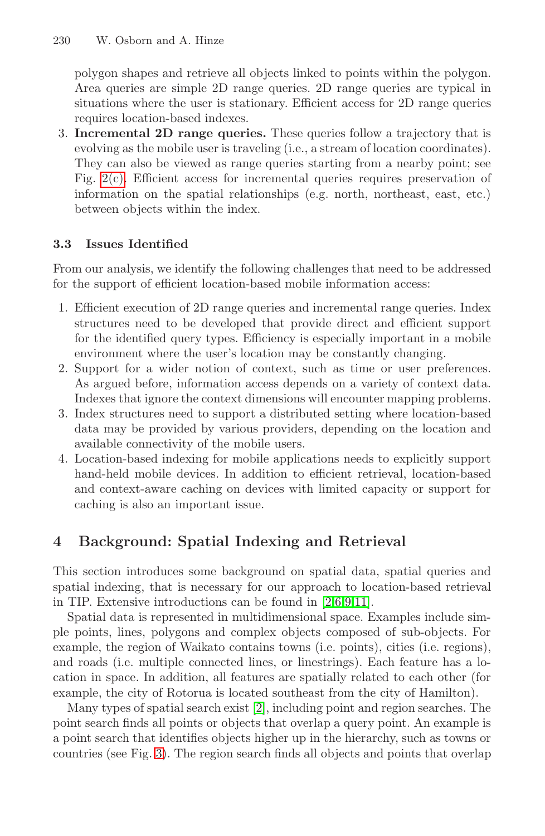#### 230 W. Osborn and A. Hinze

polygon shapes and retrieve all objects linked to points within the polygon. Area queries are simple 2D range queries. 2D range queries are typical in situations where the user is stationary. Efficient access for 2D range queries requires location-based indexes.

<span id="page-4-1"></span>3. **Incremental 2D range queries.** These queries follow a trajectory that is evolving as the mobile user is traveling (i.e., a stream of location coordinates). They can also be viewed as range queries starting from a nearby point; see Fig.  $2(c)$ . Efficient access for incremental queries requires preservation of information on the spatial relationships (e.g. north, northeast, east, etc.) between objects within the index.

### **3.3 Issues Identified**

From our analysis, we identify the following challenges that need to be addressed for the support of efficient location-based mobile information access:

- 1. Efficient execution of 2D range queries and incremental range queries. Index structures need to be developed that provide direct and efficient support for the identified query types. Efficiency is especially important in a mobile environment where the user's location may be constantly changing.
- 2. Support for a wider notion of context, such as time or user preferences. As argued before, information access depends on a variety of context data. Indexes that ignore the context dimensions will encounter mapping problems.
- <span id="page-4-0"></span>3. Index structures need to support a distributed setting where location-based data may be provided by various providers, depending on the location and available connectivity of the mobile users.
- 4. Location-based indexing for mobile applications needs to explicitly support hand-held mobile devices. In addition to efficient retrieval, location-based and context-aware cachin[g](#page-9-3) [on](#page-9-4) [dev](#page-9-6)ices with limited capacity or support for caching is also an important issue.

# **4 Background: Spatial Indexing and Retrieval**

This section introduces some background on spatial data, spatial queries and spatial indexing, [th](#page-9-3)at is necessary for our approach to location-based retrieval in TIP. Extensive introductions can be found in [2,6,9,11].

Spatial data is represented in multidimensional space. Examples include sim[p](#page-3-0)le points, lines, polygons and complex objects composed of sub-objects. For example, the region of Waikato contains towns (i.e. points), cities (i.e. regions), and roads (i.e. multiple connected lines, or linestrings). Each feature has a location in space. In addition, all features are spatially related to each other (for example, the city of Rotorua is located southeast from the city of Hamilton).

Many types of spatial search exist [2], including point and region searches. The point search finds all points or objects that overlap a query point. An example is a point search that identifies objects higher up in the hierarchy, such as towns or countries (see Fig. 3). The region search finds all objects and points that overlap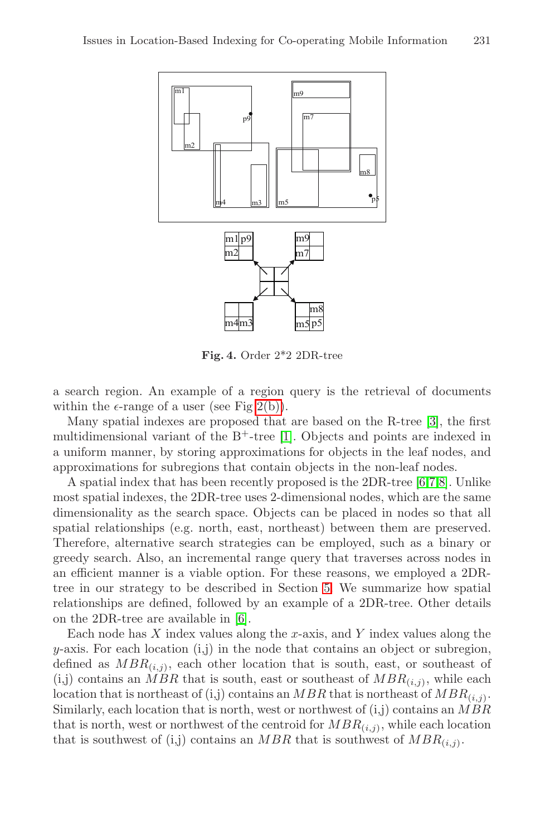

**Fig. 4.** Order 2\*2 2D[R-](#page-9-4)[tr](#page-9-8)[ee](#page-9-9)

a search region. An example of a region query is the retrieval of documents within the  $\epsilon$ -range of a user (see Fig 2(b)).

Many spatial indexes are proposed that are based on the R-tree [3], the first multidimensional variant of the  $B^+$ -tree [1]. Objects and points are indexed in a uniform manner, by storing approximations for objects in the leaf nodes, and approximations for subregion[s t](#page-6-0)hat contain objects in the non-leaf nodes.

A spatial index that has been recently proposed is the 2DR-tree [6,7,8]. Unlike most spatial i[nde](#page-9-4)xes, the 2DR-tree uses 2-dimensional nodes, which are the same dimensionality as the search space. Objects can be placed in nodes so that all spatial relationships (e.g. north, east, northeast) between them are preserved. Therefore, alternative search strategies can be employed, such as a binary or greedy search. Also, an incremental range query that traverses across nodes in an efficient manner is a viable option. For these reasons, we employed a 2DRtree in our strategy to be described in Section 5. We summarize how spatial relationships are defined, followed by an example of a 2DR-tree. Other details on the 2DR-tree are available in [6].

Each node has  $X$  index values along the  $x$ -axis, and  $Y$  index values along the y-axis. For each location (i,j) in the node that contains an object or subregion, defined as  $MBR(i,j)$ , each other location that is south, east, or southeast of (i,j) contains an MBR that is south, east or southeast of  $MBR(i,j)$ , while each location that is northeast of (i,j) contains an MBR that is northeast of  $MBR_{(i,j)}$ . Similarly, each location that is north, west or northwest of (i,j) contains an  $M\ddot{B}R$ that is north, west or northwest of the centroid for  $MBR_{(i,j)}$ , while each location that is southwest of (i,j) contains an MBR that is southwest of  $MBR_{(i,j)}$ .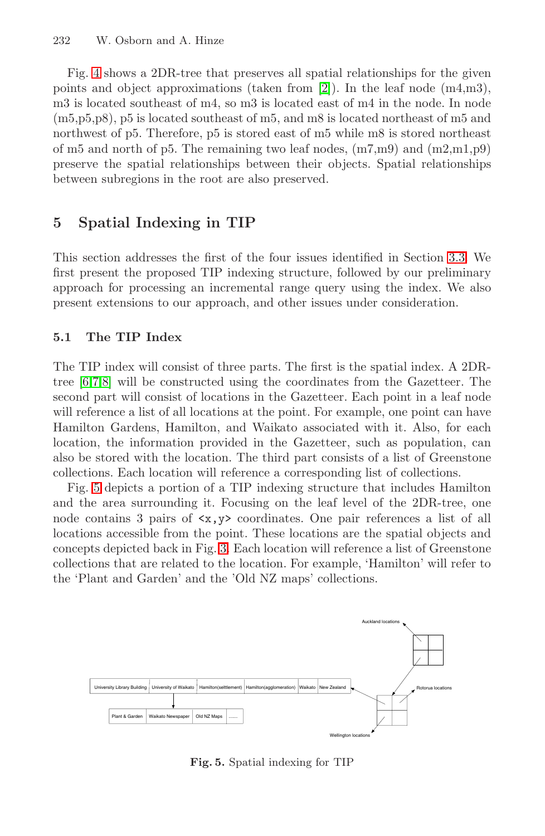#### 232 W. Osborn and A. Hinze

<span id="page-6-0"></span>Fig. 4 shows a 2DR-tree that preserves all spatial relationships for the given points and object approximations (taken from  $[2]$ ). In the leaf node  $(m4,m3)$ , m3 is located southeast of m4, so m3 is located east of m4 in the node. In node (m5,p5,p8), p5 is located southeast of m5, and m8 is located northeast of m5 and northwest of p5. Therefore, p5 is stored east of m5 [while](#page-4-1) m8 is stored northeast of m5 and north of p5. The remaining two leaf nodes, (m7,m9) and (m2,m1,p9) preserve the spatial relationships between their objects. Spatial relationships between subregions in the root are also preserved.

# **5 Spatial Indexing in TIP**

This section addresses the first of the four issues identified in Section 3.3. We first present the proposed TIP indexing structure, followed by our preliminary approach for processing an incremental range query using the index. We also present extensions to our approach, and other issues under consideration.

### **5.1 The TIP Index**

The TIP index will consist of three parts. The first is the spatial index. A 2DRtree [6,7,8] will be constructed using the coordinates from the Gazetteer. The second part will consist of locations in the Gazetteer. Each point in a leaf node will reference a list of all locations at the point. For example, one point can have Hamilton [Ga](#page-3-0)rdens, Hamilton, and Waikato associated with it. Also, for each location, the information provided in the Gazetteer, such as population, can also be stored with the location. The third part consists of a list of Greenstone collections. Each location will reference a corresponding list of collections.

Fig. 5 depicts a portion of a TIP indexing structure that includes Hamilton and the area surrounding it. Focusing on the leaf level of the 2DR-tree, one node contains 3 pairs of  $\langle x, y \rangle$  coordinates. One pair references a list of all locations accessible from the point. These locations are the spatial objects and concepts depicted back in Fig. 3. Each location will reference a list of Greenstone collections that are related to the location. For example, 'Hamilton' will refer to the 'Plant and Garden' and the 'Old NZ maps' collections.

<span id="page-6-1"></span>

**Fig. 5.** Spatial indexing for TIP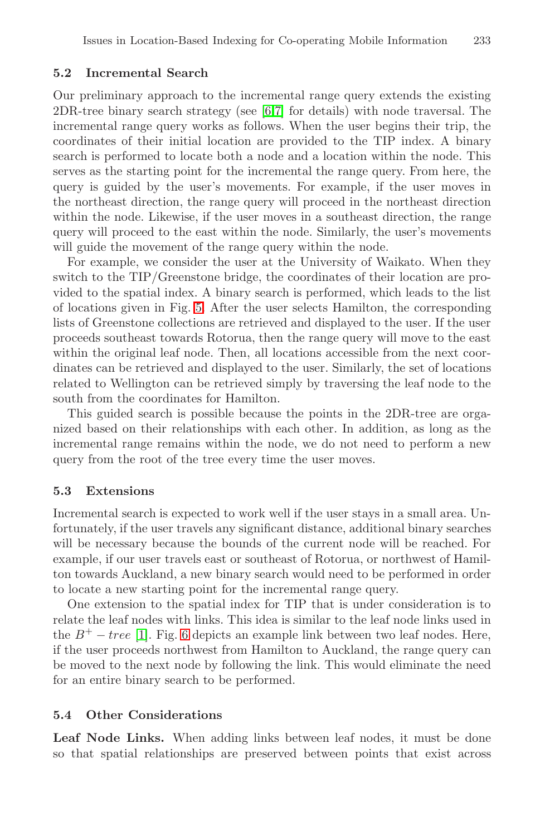#### **5.2 Incremental Search**

Our preliminary approach to the incremental range query extends the existing 2DR-tree binary search strategy (see [6,7] for details) with node traversal. The incremental range query works as follows. When the user begins their trip, the coordinates of their initial location are provided to the TIP index. A binary search is performed to locate both a node and a location within the node. This serves as the starting point for the incremental the range query. From here, the query [is](#page-6-1) guided by the user's movements. For example, if the user moves in the northeast direction, the range query will proceed in the northeast direction within the node. Likewise, if the user moves in a southeast direction, the range query will proceed to the east within the node. Similarly, the user's movements will guide the movement of the range query within the node.

For example, we consider the user at the University of Waikato. When they switch to the TIP/Greenstone bridge, the coordinates of their location are provided to the spatial index. A binary search is performed, which leads to the list of locations given in Fig. 5. After the user selects Hamilton, the corresponding lists of Greenstone collections are retrieved and displayed to the user. If the user proceeds southeast towards Rotorua, then the range query will move to the east within the original leaf node. Then, all locations accessible from the next coordinates can be retrieved and displayed to the user. Similarly, the set of locations related to Wellington can be retrieved simply by traversing the leaf node to the south from the coordinates for Hamilton.

This guided search is possible because the points in the 2DR-tree are organized based on their relationships with each other. In addition, as long as the incremental range remains within the node, we do not need to perform a new query from the root of the tree every time the user moves.

### **5.3 Extensions**

Incr[em](#page-8-0)ental search is expected to work well if the user stays in a small area. Unfortunately, if the user travels any significant distance, additional binary searches will be necessary because the bounds of the current node will be reached. For example, if our user travels east or southeast of Rotorua, or northwest of Hamilton towards Auckland, a new binary search would need to be performed in order to locate a new starting point for the incremental range query.

One extension to the spatial index for TIP that is under consideration is to relate the leaf nodes with links. This idea is similar to the leaf node links used in the  $B^+ - tree$  [1]. Fig. 6 depicts an example link between two leaf nodes. Here, if the user proceeds northwest from Hamilton to Auckland, the range query can be moved to the next node by following the link. This would eliminate the need for an entire binary search to be performed.

### **5.4 Other Considerations**

**Leaf Node Links.** When adding links between leaf nodes, it must be done so that spatial relationships are preserved between points that exist across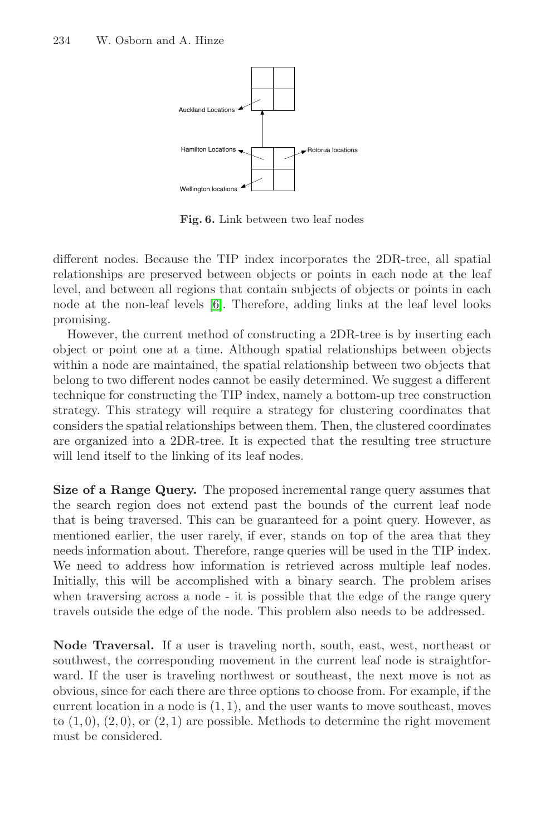#### <span id="page-8-0"></span>234 W. Osborn and A. Hinze



**Fig. 6.** Link between two leaf nodes

different nodes. Because the TIP index incorporates the 2DR-tree, all spatial relationships are preserved between objects or points in each node at the leaf level, and between all regions that contain subjects of objects or points in each node at the non-leaf levels [6]. Therefore, adding links at the leaf level looks promising.

However, the current method of constructing a 2DR-tree is by inserting each object or point one at a time. Although spatial relationships between objects within a node are maintained, the spatial relationship between two objects that belong to two different nodes cannot be easily determined. We suggest a different technique for constructing the TIP index, namely a bottom-up tree construction strategy. This strategy will require a strategy for clustering coordinates that considers the spatial relationships between them. Then, the clustered coordinates are organized into a 2DR-tree. It is expected that the resulting tree structure will lend itself to the linking of its leaf nodes.

**Size of a Range Query.** The proposed incremental range query assumes that the search region does not extend past the bounds of the current leaf node that is being traversed. This can be guaranteed for a point query. However, as mentioned earlier, the user rarely, if ever, stands on top of the area that they needs information about. Therefore, range queries will be used in the TIP index. We need to address how information is retrieved across multiple leaf nodes. Initially, this will be accomplished with a binary search. The problem arises when traversing across a node - it is possible that the edge of the range query travels outside the edge of the node. This problem also needs to be addressed.

**Node Traversal.** If a user is traveling north, south, east, west, northeast or southwest, the corresponding movement in the current leaf node is straightforward. If the user is traveling northwest or southeast, the next move is not as obvious, since for each there are three options to choose from. For example, if the current location in a node is  $(1, 1)$ , and the user wants to move southeast, moves to  $(1, 0)$ ,  $(2, 0)$ , or  $(2, 1)$  are possible. Methods to determine the right movement must be considered.